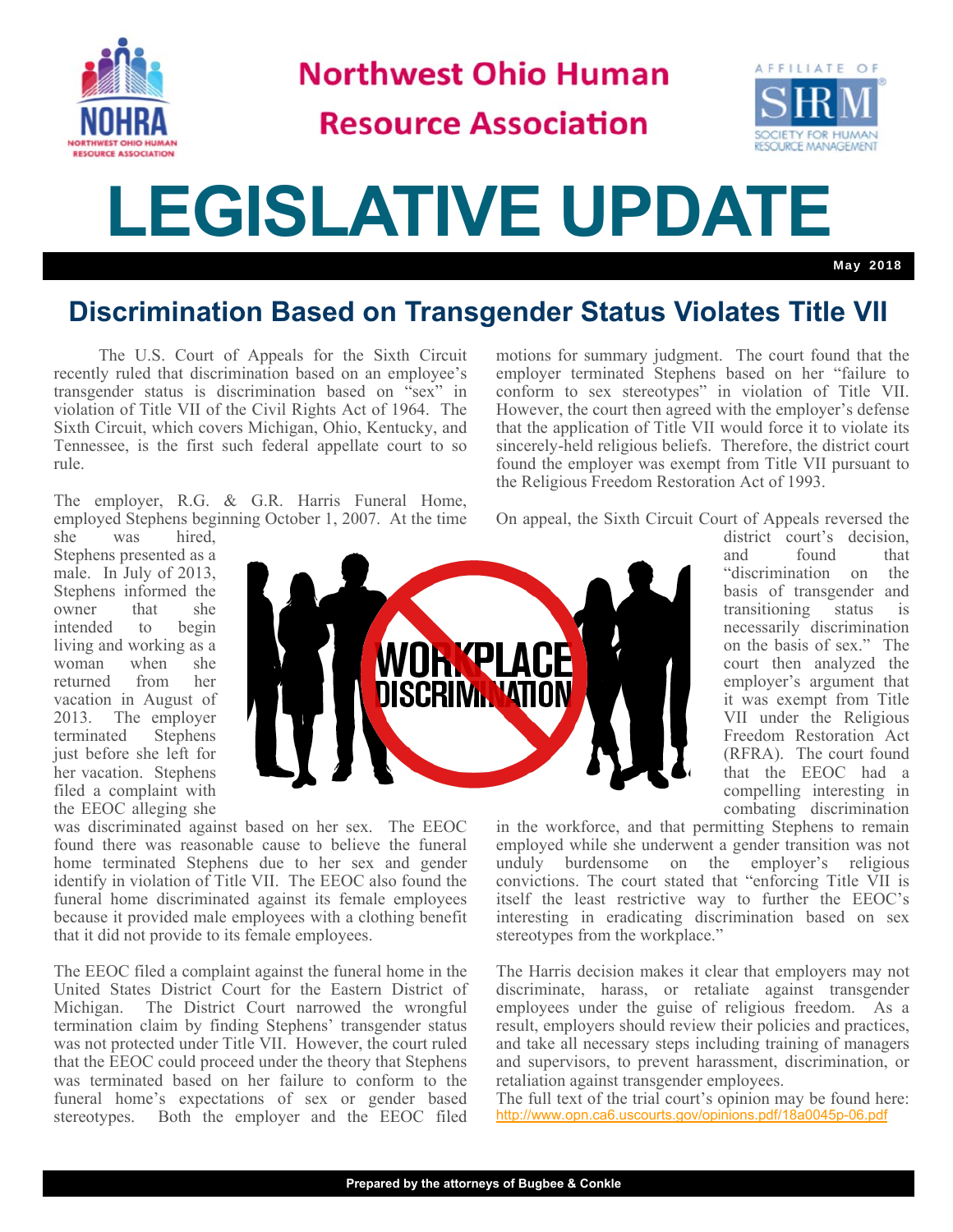

**Northwest Ohio Human** 

## **Resource Association**



## **LEGISLATIVE UPDATE**

May 2018

## **Discrimination Based on Transgender Status Violates Title VII**

 The U.S. Court of Appeals for the Sixth Circuit recently ruled that discrimination based on an employee's transgender status is discrimination based on "sex" in violation of Title VII of the Civil Rights Act of 1964. The Sixth Circuit, which covers Michigan, Ohio, Kentucky, and Tennessee, is the first such federal appellate court to so rule.

The employer, R.G. & G.R. Harris Funeral Home, employed Stephens beginning October 1, 2007. At the time

she was hired, Stephens presented as a male. In July of 2013, Stephens informed the owner that she intended to begin living and working as a woman when she returned from her vacation in August of 2013. The employer terminated Stephens just before she left for her vacation. Stephens filed a complaint with the EEOC alleging she



was discriminated against based on her sex. The EEOC found there was reasonable cause to believe the funeral home terminated Stephens due to her sex and gender identify in violation of Title VII. The EEOC also found the funeral home discriminated against its female employees because it provided male employees with a clothing benefit that it did not provide to its female employees.

The EEOC filed a complaint against the funeral home in the United States District Court for the Eastern District of Michigan. The District Court narrowed the wrongful termination claim by finding Stephens' transgender status was not protected under Title VII. However, the court ruled that the EEOC could proceed under the theory that Stephens was terminated based on her failure to conform to the funeral home's expectations of sex or gender based stereotypes. Both the employer and the EEOC filed motions for summary judgment. The court found that the employer terminated Stephens based on her "failure to conform to sex stereotypes" in violation of Title VII. However, the court then agreed with the employer's defense that the application of Title VII would force it to violate its sincerely-held religious beliefs. Therefore, the district court found the employer was exempt from Title VII pursuant to the Religious Freedom Restoration Act of 1993.

On appeal, the Sixth Circuit Court of Appeals reversed the

district court's decision, and found that "discrimination on the basis of transgender and transitioning status is necessarily discrimination on the basis of sex." The court then analyzed the employer's argument that it was exempt from Title VII under the Religious Freedom Restoration Act (RFRA). The court found that the EEOC had a compelling interesting in combating discrimination

in the workforce, and that permitting Stephens to remain employed while she underwent a gender transition was not unduly burdensome on the employer's religious convictions. The court stated that "enforcing Title VII is itself the least restrictive way to further the EEOC's interesting in eradicating discrimination based on sex stereotypes from the workplace."

The Harris decision makes it clear that employers may not discriminate, harass, or retaliate against transgender employees under the guise of religious freedom. As a result, employers should review their policies and practices, and take all necessary steps including training of managers and supervisors, to prevent harassment, discrimination, or retaliation against transgender employees.

The full text of the trial court's opinion may be found here: http://www.opn.ca6.uscourts.gov/opinions.pdf/18a0045p-06.pdf